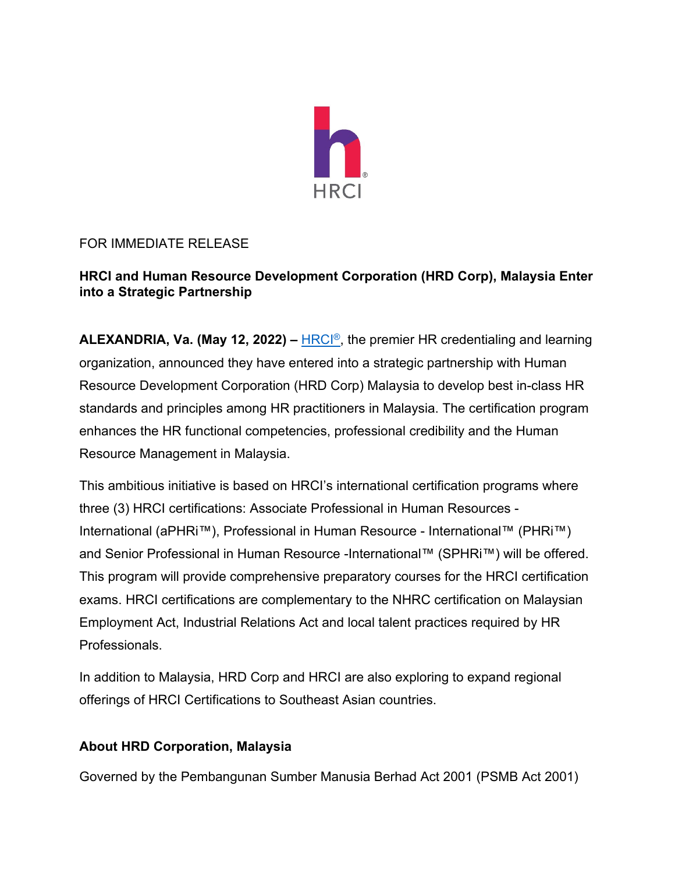

# FOR IMMEDIATE RELEASE

## **HRCI and Human Resource Development Corporation (HRD Corp), Malaysia Enter into a Strategic Partnership**

**ALEXANDRIA, Va. (May 12, 2022) –** [HRCI®,](http://www.hrci.org/) the premier HR credentialing and learning organization, announced they have entered into a strategic partnership with Human Resource Development Corporation (HRD Corp) Malaysia to develop best in-class HR standards and principles among HR practitioners in Malaysia. The certification program enhances the HR functional competencies, professional credibility and the Human Resource Management in Malaysia.

This ambitious initiative is based on HRCI's international certification programs where three (3) HRCI certifications: Associate Professional in Human Resources - International (aPHRi™), Professional in Human Resource - International™ (PHRi™) and Senior Professional in Human Resource -International™ (SPHRi™) will be offered. This program will provide comprehensive preparatory courses for the HRCI certification exams. HRCI certifications are complementary to the NHRC certification on Malaysian Employment Act, Industrial Relations Act and local talent practices required by HR Professionals.

In addition to Malaysia, HRD Corp and HRCI are also exploring to expand regional offerings of HRCI Certifications to Southeast Asian countries.

### **About HRD Corporation, Malaysia**

Governed by the Pembangunan Sumber Manusia Berhad Act 2001 (PSMB Act 2001)